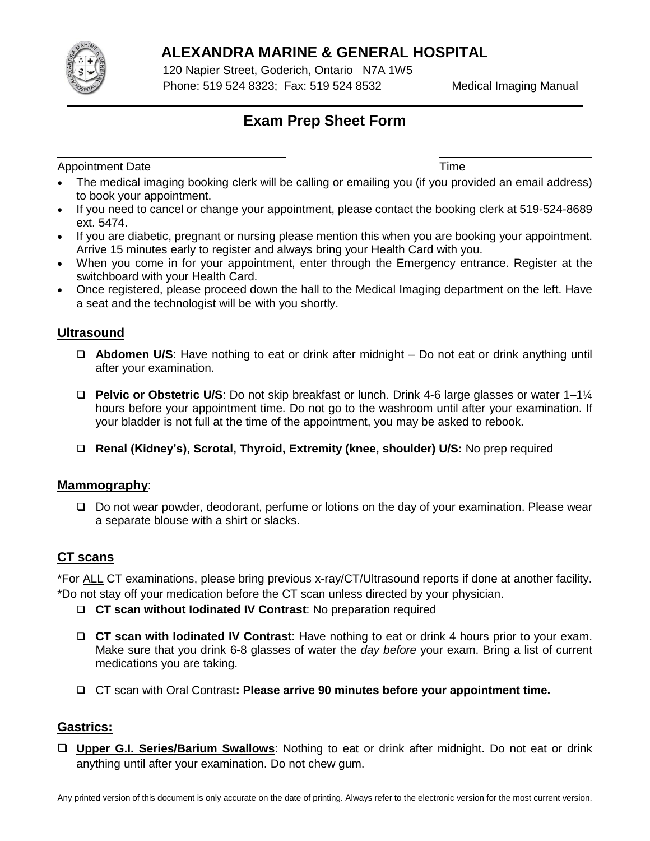

# **ALEXANDRA MARINE & GENERAL HOSPITAL**

120 Napier Street, Goderich, Ontario N7A 1W5 Phone: 519 524 8323; Fax: 519 524 8532 Medical Imaging Manual

# **Exam Prep Sheet Form**

Appointment Date **Time** 

- The medical imaging booking clerk will be calling or emailing you (if you provided an email address) to book your appointment.
- If you need to cancel or change your appointment, please contact the booking clerk at 519-524-8689 ext. 5474.
- If you are diabetic, pregnant or nursing please mention this when you are booking your appointment. Arrive 15 minutes early to register and always bring your Health Card with you.
- When you come in for your appointment, enter through the Emergency entrance. Register at the switchboard with your Health Card.
- Once registered, please proceed down the hall to the Medical Imaging department on the left. Have a seat and the technologist will be with you shortly.

### **Ultrasound**

- **Abdomen U/S**: Have nothing to eat or drink after midnight Do not eat or drink anything until after your examination.
- **Pelvic or Obstetric U/S**: Do not skip breakfast or lunch. Drink 4-6 large glasses or water 1–1¼ hours before your appointment time. Do not go to the washroom until after your examination. If your bladder is not full at the time of the appointment, you may be asked to rebook.
- **Renal (Kidney's), Scrotal, Thyroid, Extremity (knee, shoulder) U/S:** No prep required

### **Mammography**:

□ Do not wear powder, deodorant, perfume or lotions on the day of your examination. Please wear a separate blouse with a shirt or slacks.

## **CT scans**

\*For ALL CT examinations, please bring previous x-ray/CT/Ultrasound reports if done at another facility. \*Do not stay off your medication before the CT scan unless directed by your physician.

- **CT scan without Iodinated IV Contrast**: No preparation required
- **CT scan with Iodinated IV Contrast**: Have nothing to eat or drink 4 hours prior to your exam. Make sure that you drink 6-8 glasses of water the *day before* your exam. Bring a list of current medications you are taking.
- CT scan with Oral Contrast**: Please arrive 90 minutes before your appointment time.**

### **Gastrics:**

 **Upper G.I. Series/Barium Swallows**: Nothing to eat or drink after midnight. Do not eat or drink anything until after your examination. Do not chew gum.